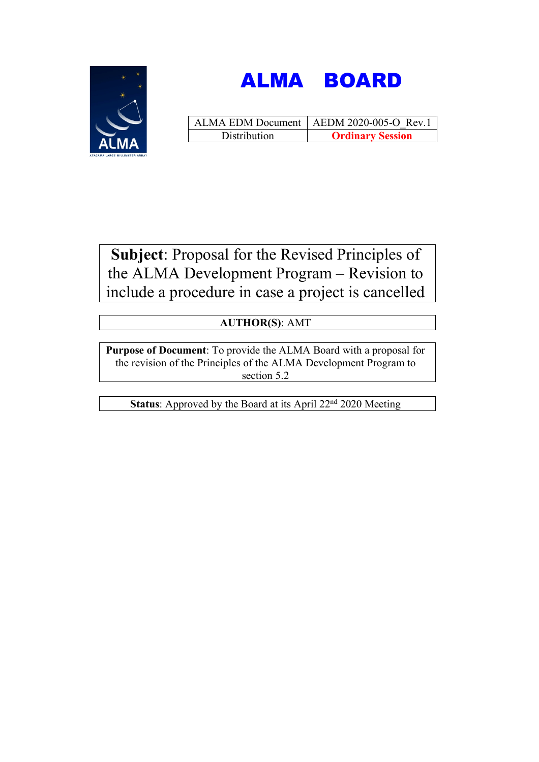



|              | ALMA EDM Document   AEDM 2020-005-O Rev.1 |
|--------------|-------------------------------------------|
| Distribution | <b>Ordinary Session</b>                   |

**Subject**: Proposal for the Revised Principles of the ALMA Development Program – Revision to include a procedure in case a project is cancelled

# **AUTHOR(S)**: AMT

**Purpose of Document**: To provide the ALMA Board with a proposal for the revision of the Principles of the ALMA Development Program to section 5.2

**Status**: Approved by the Board at its April 22<sup>nd</sup> 2020 Meeting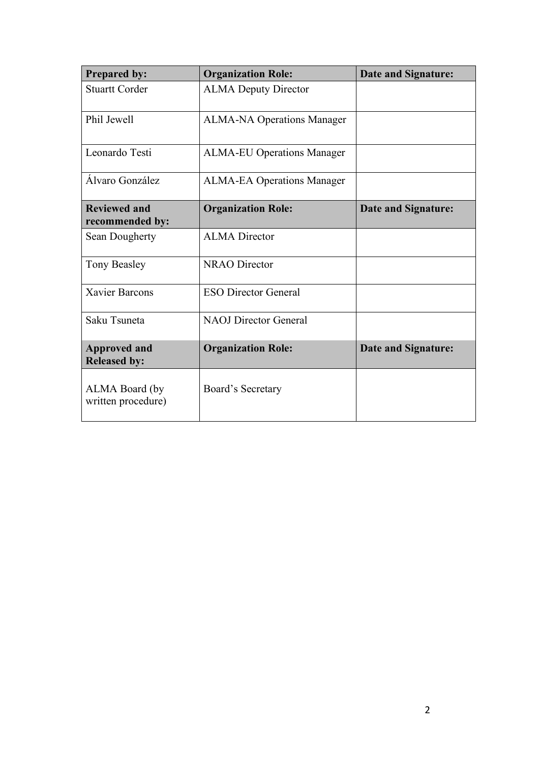| <b>Prepared by:</b>                        | <b>Organization Role:</b>         | <b>Date and Signature:</b> |
|--------------------------------------------|-----------------------------------|----------------------------|
| <b>Stuartt Corder</b>                      | <b>ALMA Deputy Director</b>       |                            |
| Phil Jewell                                | <b>ALMA-NA Operations Manager</b> |                            |
| Leonardo Testi                             | <b>ALMA-EU Operations Manager</b> |                            |
| Álvaro González                            | <b>ALMA-EA Operations Manager</b> |                            |
| <b>Reviewed and</b><br>recommended by:     | <b>Organization Role:</b>         | <b>Date and Signature:</b> |
| Sean Dougherty                             | <b>ALMA</b> Director              |                            |
| Tony Beasley                               | <b>NRAO</b> Director              |                            |
| <b>Xavier Barcons</b>                      | <b>ESO Director General</b>       |                            |
| Saku Tsuneta                               | <b>NAOJ</b> Director General      |                            |
| <b>Approved and</b><br><b>Released by:</b> | <b>Organization Role:</b>         | <b>Date and Signature:</b> |
| ALMA Board (by<br>written procedure)       | Board's Secretary                 |                            |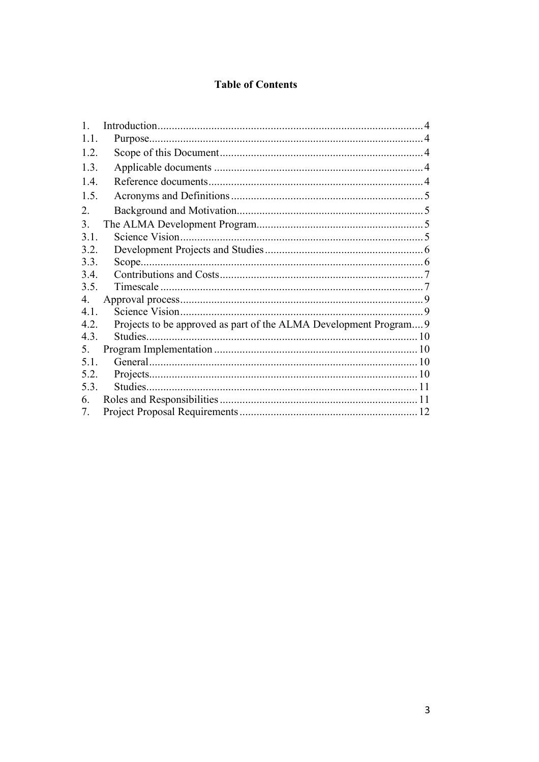# **Table of Contents**

| 1.1. | Purpose.                                                          |  |
|------|-------------------------------------------------------------------|--|
| 12   |                                                                   |  |
| 1.3. |                                                                   |  |
| 1.4. |                                                                   |  |
| 1.5. |                                                                   |  |
| 2.   |                                                                   |  |
| 3.   |                                                                   |  |
| 3.1. | Science Vision                                                    |  |
| 3.2. |                                                                   |  |
| 3.3. | Scope                                                             |  |
| 3.4. |                                                                   |  |
| 3.5. |                                                                   |  |
| 4.   |                                                                   |  |
| 4.1. |                                                                   |  |
| 4.2. | Projects to be approved as part of the ALMA Development Program 9 |  |
| 4.3. | Studies.                                                          |  |
| 5.   |                                                                   |  |
| 5 1  |                                                                   |  |
| 5.2. |                                                                   |  |
| 5.3. |                                                                   |  |
| 6    |                                                                   |  |
| 7.   |                                                                   |  |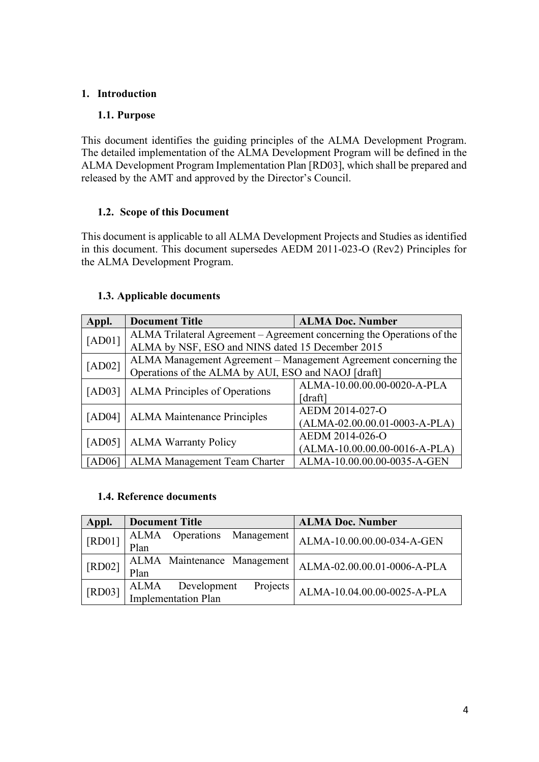# **1. Introduction**

## **1.1. Purpose**

This document identifies the guiding principles of the ALMA Development Program. The detailed implementation of the ALMA Development Program will be defined in the ALMA Development Program Implementation Plan [RD03], which shall be prepared and released by the AMT and approved by the Director's Council.

# **1.2. Scope of this Document**

This document is applicable to all ALMA Development Projects and Studies as identified in this document. This document supersedes AEDM 2011-023-O (Rev2) Principles for the ALMA Development Program.

## **1.3. Applicable documents**

| Appl.  | <b>Document Title</b>                                                  | <b>ALMA Doc. Number</b>         |  |
|--------|------------------------------------------------------------------------|---------------------------------|--|
| [AD01] | ALMA Trilateral Agreement – Agreement concerning the Operations of the |                                 |  |
|        | ALMA by NSF, ESO and NINS dated 15 December 2015                       |                                 |  |
|        | ALMA Management Agreement – Management Agreement concerning the        |                                 |  |
| [AD02] | Operations of the ALMA by AUI, ESO and NAOJ [draft]                    |                                 |  |
| [AD03] | <b>ALMA</b> Principles of Operations                                   | ALMA-10.00.00.00-0020-A-PLA     |  |
|        |                                                                        | [draft]                         |  |
| [AD04] | <b>ALMA</b> Maintenance Principles                                     | AEDM 2014-027-O                 |  |
|        |                                                                        | $(ALMA-02.00.00.01-0003-A-PLA)$ |  |
| [AD05] | <b>ALMA Warranty Policy</b>                                            | AEDM 2014-026-O                 |  |
|        |                                                                        | (ALMA-10.00.00.00-0016-A-PLA)   |  |
| [AD06] | ALMA Management Team Charter                                           | ALMA-10.00.00.00-0035-A-GEN     |  |

## **1.4. Reference documents**

| Appl.          | <b>Document Title</b>                                      | <b>ALMA Doc. Number</b>     |
|----------------|------------------------------------------------------------|-----------------------------|
| [RD01]         | Operations<br>ALMA<br>Management<br>Plan                   | ALMA-10.00.00.00-034-A-GEN  |
| $[RD02]$       | ALMA Maintenance Management<br>Plan                        | ALMA-02.00.00.01-0006-A-PLA |
| $\vert$ [RD03] | Projects<br>ALMA Development<br><b>Implementation Plan</b> | ALMA-10.04.00.00-0025-A-PLA |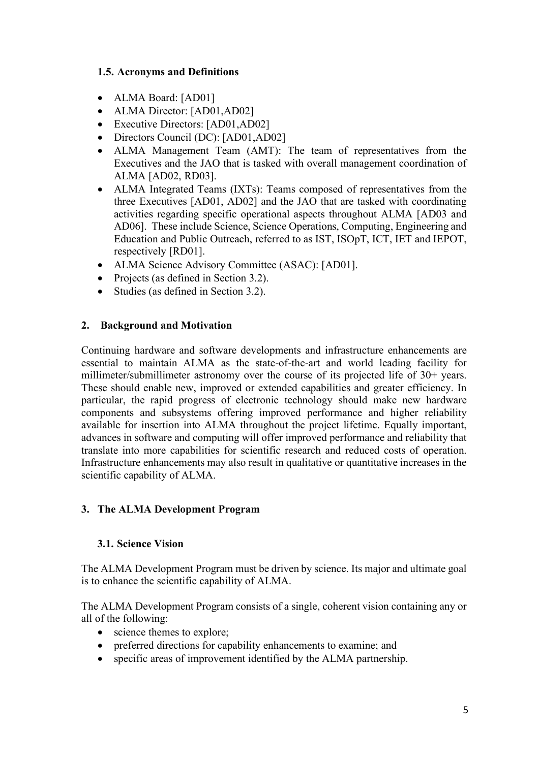## **1.5. Acronyms and Definitions**

- ALMA Board: [AD01]
- ALMA Director: [AD01,AD02]
- Executive Directors: [AD01,AD02]
- Directors Council (DC): [AD01,AD02]
- ALMA Management Team (AMT): The team of representatives from the Executives and the JAO that is tasked with overall management coordination of ALMA [AD02, RD03].
- ALMA Integrated Teams (IXTs): Teams composed of representatives from the three Executives [AD01, AD02] and the JAO that are tasked with coordinating activities regarding specific operational aspects throughout ALMA [AD03 and AD06]. These include Science, Science Operations, Computing, Engineering and Education and Public Outreach, referred to as IST, ISOpT, ICT, IET and IEPOT, respectively [RD01].
- ALMA Science Advisory Committee (ASAC): [AD01].
- Projects (as defined in Section 3.2).
- Studies (as defined in Section 3.2).

## **2. Background and Motivation**

Continuing hardware and software developments and infrastructure enhancements are essential to maintain ALMA as the state-of-the-art and world leading facility for millimeter/submillimeter astronomy over the course of its projected life of 30+ years. These should enable new, improved or extended capabilities and greater efficiency. In particular, the rapid progress of electronic technology should make new hardware components and subsystems offering improved performance and higher reliability available for insertion into ALMA throughout the project lifetime. Equally important, advances in software and computing will offer improved performance and reliability that translate into more capabilities for scientific research and reduced costs of operation. Infrastructure enhancements may also result in qualitative or quantitative increases in the scientific capability of ALMA.

## **3. The ALMA Development Program**

## **3.1. Science Vision**

The ALMA Development Program must be driven by science. Its major and ultimate goal is to enhance the scientific capability of ALMA.

The ALMA Development Program consists of a single, coherent vision containing any or all of the following:

- science themes to explore;
- preferred directions for capability enhancements to examine; and
- specific areas of improvement identified by the ALMA partnership.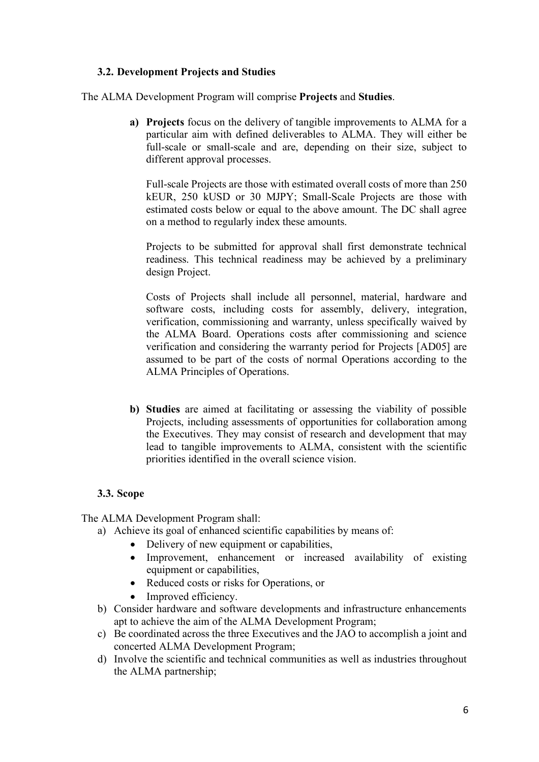## **3.2. Development Projects and Studies**

The ALMA Development Program will comprise **Projects** and **Studies**.

**a) Projects** focus on the delivery of tangible improvements to ALMA for a particular aim with defined deliverables to ALMA. They will either be full-scale or small-scale and are, depending on their size, subject to different approval processes.

Full-scale Projects are those with estimated overall costs of more than 250 kEUR, 250 kUSD or 30 MJPY; Small-Scale Projects are those with estimated costs below or equal to the above amount. The DC shall agree on a method to regularly index these amounts.

Projects to be submitted for approval shall first demonstrate technical readiness. This technical readiness may be achieved by a preliminary design Project.

Costs of Projects shall include all personnel, material, hardware and software costs, including costs for assembly, delivery, integration, verification, commissioning and warranty, unless specifically waived by the ALMA Board. Operations costs after commissioning and science verification and considering the warranty period for Projects [AD05] are assumed to be part of the costs of normal Operations according to the ALMA Principles of Operations.

**b) Studies** are aimed at facilitating or assessing the viability of possible Projects, including assessments of opportunities for collaboration among the Executives. They may consist of research and development that may lead to tangible improvements to ALMA, consistent with the scientific priorities identified in the overall science vision.

## **3.3. Scope**

The ALMA Development Program shall:

- a) Achieve its goal of enhanced scientific capabilities by means of:
	- Delivery of new equipment or capabilities,
	- Improvement, enhancement or increased availability of existing equipment or capabilities,
	- Reduced costs or risks for Operations, or
	- Improved efficiency.
- b) Consider hardware and software developments and infrastructure enhancements apt to achieve the aim of the ALMA Development Program;
- c) Be coordinated across the three Executives and the JAO to accomplish a joint and concerted ALMA Development Program;
- d) Involve the scientific and technical communities as well as industries throughout the ALMA partnership;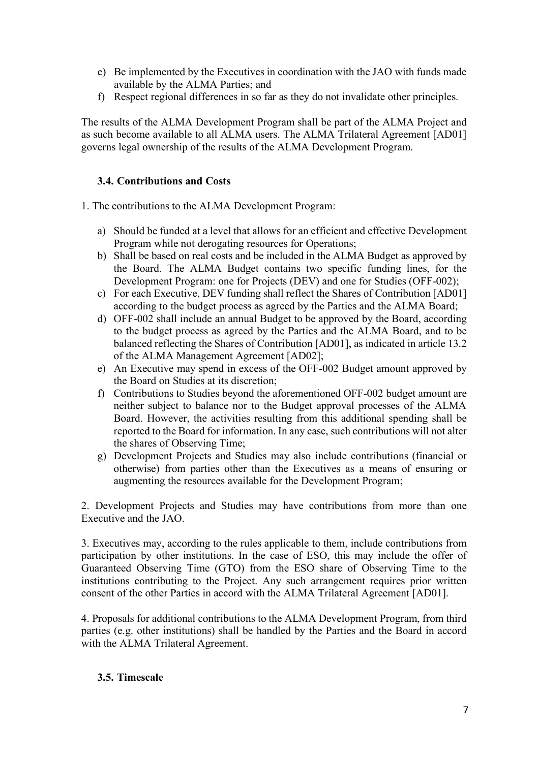- e) Be implemented by the Executives in coordination with the JAO with funds made available by the ALMA Parties; and
- f) Respect regional differences in so far as they do not invalidate other principles.

The results of the ALMA Development Program shall be part of the ALMA Project and as such become available to all ALMA users. The ALMA Trilateral Agreement [AD01] governs legal ownership of the results of the ALMA Development Program.

## **3.4. Contributions and Costs**

1. The contributions to the ALMA Development Program:

- a) Should be funded at a level that allows for an efficient and effective Development Program while not derogating resources for Operations;
- b) Shall be based on real costs and be included in the ALMA Budget as approved by the Board. The ALMA Budget contains two specific funding lines, for the Development Program: one for Projects (DEV) and one for Studies (OFF-002);
- c) For each Executive, DEV funding shall reflect the Shares of Contribution [AD01] according to the budget process as agreed by the Parties and the ALMA Board;
- d) OFF-002 shall include an annual Budget to be approved by the Board, according to the budget process as agreed by the Parties and the ALMA Board, and to be balanced reflecting the Shares of Contribution [AD01], as indicated in article 13.2 of the ALMA Management Agreement [AD02];
- e) An Executive may spend in excess of the OFF-002 Budget amount approved by the Board on Studies at its discretion;
- f) Contributions to Studies beyond the aforementioned OFF-002 budget amount are neither subject to balance nor to the Budget approval processes of the ALMA Board. However, the activities resulting from this additional spending shall be reported to the Board for information. In any case, such contributions will not alter the shares of Observing Time;
- g) Development Projects and Studies may also include contributions (financial or otherwise) from parties other than the Executives as a means of ensuring or augmenting the resources available for the Development Program;

2. Development Projects and Studies may have contributions from more than one Executive and the JAO.

3. Executives may, according to the rules applicable to them, include contributions from participation by other institutions. In the case of ESO, this may include the offer of Guaranteed Observing Time (GTO) from the ESO share of Observing Time to the institutions contributing to the Project. Any such arrangement requires prior written consent of the other Parties in accord with the ALMA Trilateral Agreement [AD01].

4. Proposals for additional contributions to the ALMA Development Program, from third parties (e.g. other institutions) shall be handled by the Parties and the Board in accord with the ALMA Trilateral Agreement.

## **3.5. Timescale**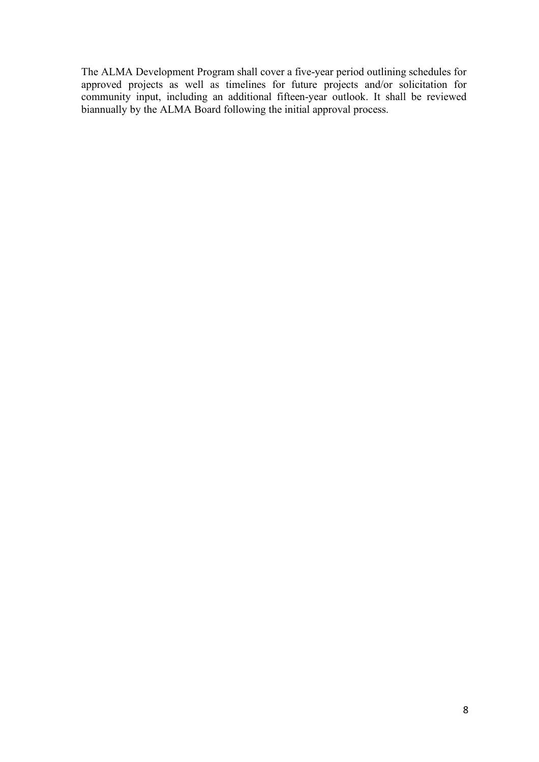The ALMA Development Program shall cover a five-year period outlining schedules for approved projects as well as timelines for future projects and/or solicitation for community input, including an additional fifteen-year outlook. It shall be reviewed biannually by the ALMA Board following the initial approval process.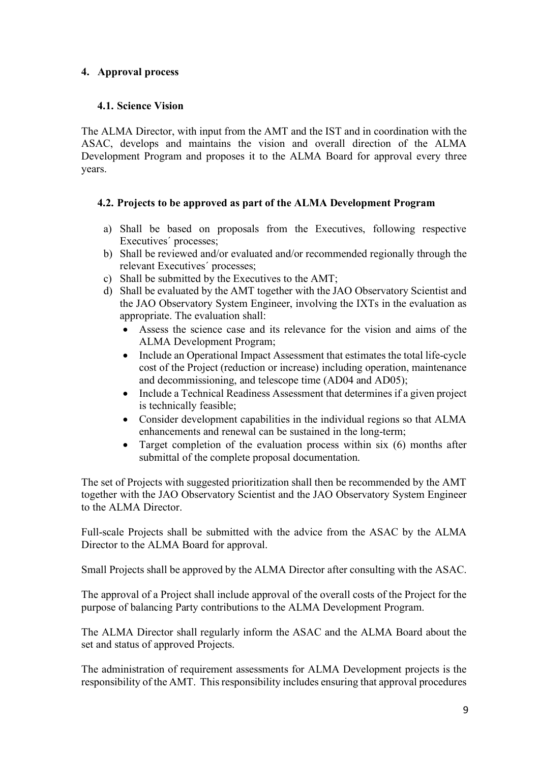# **4. Approval process**

## **4.1. Science Vision**

The ALMA Director, with input from the AMT and the IST and in coordination with the ASAC, develops and maintains the vision and overall direction of the ALMA Development Program and proposes it to the ALMA Board for approval every three years.

# **4.2. Projects to be approved as part of the ALMA Development Program**

- a) Shall be based on proposals from the Executives, following respective Executives´ processes;
- b) Shall be reviewed and/or evaluated and/or recommended regionally through the relevant Executives´ processes;
- c) Shall be submitted by the Executives to the AMT;
- d) Shall be evaluated by the AMT together with the JAO Observatory Scientist and the JAO Observatory System Engineer, involving the IXTs in the evaluation as appropriate. The evaluation shall:
	- Assess the science case and its relevance for the vision and aims of the ALMA Development Program;
	- Include an Operational Impact Assessment that estimates the total life-cycle cost of the Project (reduction or increase) including operation, maintenance and decommissioning, and telescope time (AD04 and AD05);
	- Include a Technical Readiness Assessment that determines if a given project is technically feasible;
	- Consider development capabilities in the individual regions so that ALMA enhancements and renewal can be sustained in the long-term;
	- Target completion of the evaluation process within six (6) months after submittal of the complete proposal documentation.

The set of Projects with suggested prioritization shall then be recommended by the AMT together with the JAO Observatory Scientist and the JAO Observatory System Engineer to the ALMA Director.

Full-scale Projects shall be submitted with the advice from the ASAC by the ALMA Director to the ALMA Board for approval.

Small Projects shall be approved by the ALMA Director after consulting with the ASAC.

The approval of a Project shall include approval of the overall costs of the Project for the purpose of balancing Party contributions to the ALMA Development Program.

The ALMA Director shall regularly inform the ASAC and the ALMA Board about the set and status of approved Projects.

The administration of requirement assessments for ALMA Development projects is the responsibility of the AMT. This responsibility includes ensuring that approval procedures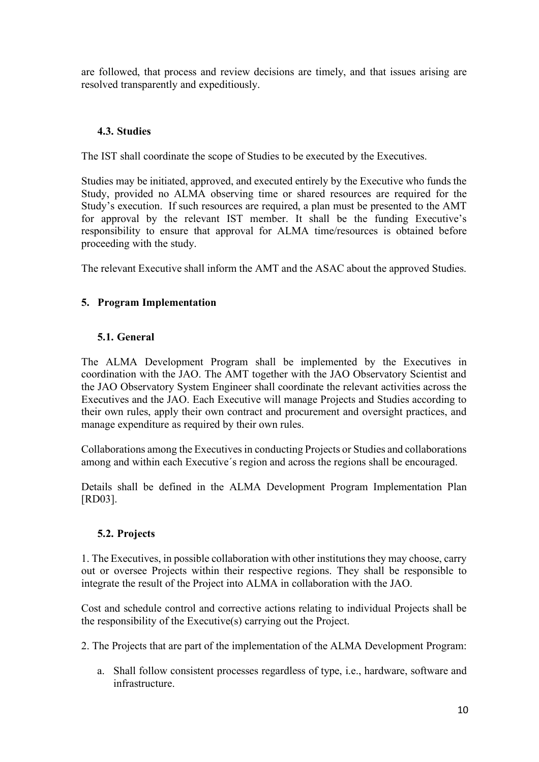are followed, that process and review decisions are timely, and that issues arising are resolved transparently and expeditiously.

# **4.3. Studies**

The IST shall coordinate the scope of Studies to be executed by the Executives.

Studies may be initiated, approved, and executed entirely by the Executive who funds the Study, provided no ALMA observing time or shared resources are required for the Study's execution. If such resources are required, a plan must be presented to the AMT for approval by the relevant IST member. It shall be the funding Executive's responsibility to ensure that approval for ALMA time/resources is obtained before proceeding with the study.

The relevant Executive shall inform the AMT and the ASAC about the approved Studies.

# **5. Program Implementation**

# **5.1. General**

The ALMA Development Program shall be implemented by the Executives in coordination with the JAO. The AMT together with the JAO Observatory Scientist and the JAO Observatory System Engineer shall coordinate the relevant activities across the Executives and the JAO. Each Executive will manage Projects and Studies according to their own rules, apply their own contract and procurement and oversight practices, and manage expenditure as required by their own rules.

Collaborations among the Executives in conducting Projects or Studies and collaborations among and within each Executive´s region and across the regions shall be encouraged.

Details shall be defined in the ALMA Development Program Implementation Plan [RD03].

# **5.2. Projects**

1. The Executives, in possible collaboration with other institutions they may choose, carry out or oversee Projects within their respective regions. They shall be responsible to integrate the result of the Project into ALMA in collaboration with the JAO.

Cost and schedule control and corrective actions relating to individual Projects shall be the responsibility of the Executive(s) carrying out the Project.

2. The Projects that are part of the implementation of the ALMA Development Program:

a. Shall follow consistent processes regardless of type, i.e., hardware, software and infrastructure.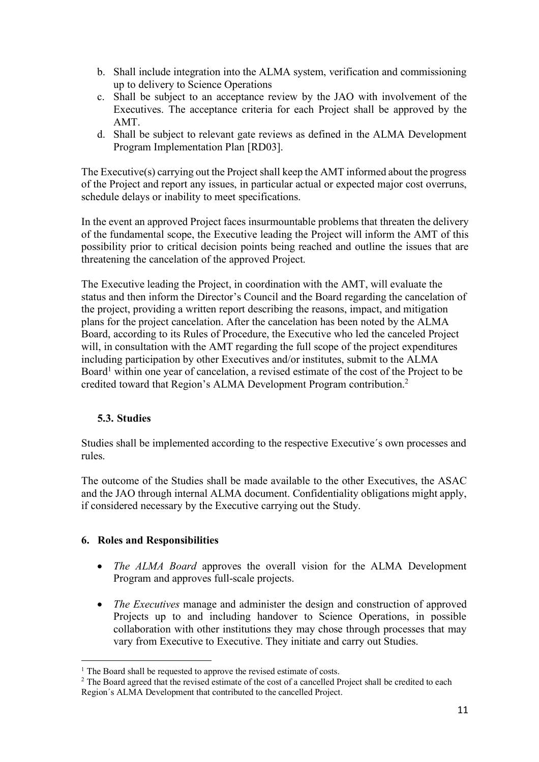- b. Shall include integration into the ALMA system, verification and commissioning up to delivery to Science Operations
- c. Shall be subject to an acceptance review by the JAO with involvement of the Executives. The acceptance criteria for each Project shall be approved by the AMT.
- d. Shall be subject to relevant gate reviews as defined in the ALMA Development Program Implementation Plan [RD03].

The Executive(s) carrying out the Project shall keep the AMT informed about the progress of the Project and report any issues, in particular actual or expected major cost overruns, schedule delays or inability to meet specifications.

In the event an approved Project faces insurmountable problems that threaten the delivery of the fundamental scope, the Executive leading the Project will inform the AMT of this possibility prior to critical decision points being reached and outline the issues that are threatening the cancelation of the approved Project.

The Executive leading the Project, in coordination with the AMT, will evaluate the status and then inform the Director's Council and the Board regarding the cancelation of the project, providing a written report describing the reasons, impact, and mitigation plans for the project cancelation. After the cancelation has been noted by the ALMA Board, according to its Rules of Procedure, the Executive who led the canceled Project will, in consultation with the AMT regarding the full scope of the project expenditures including participation by other Executives and/or institutes, submit to the ALMA Board<sup>1</sup> within one year of cancelation, a revised estimate of the cost of the Project to be credited toward that Region's ALMA Development Program contribution.2

# **5.3. Studies**

 $\overline{a}$ 

Studies shall be implemented according to the respective Executive´s own processes and rules.

The outcome of the Studies shall be made available to the other Executives, the ASAC and the JAO through internal ALMA document. Confidentiality obligations might apply, if considered necessary by the Executive carrying out the Study.

## **6. Roles and Responsibilities**

- *The ALMA Board* approves the overall vision for the ALMA Development Program and approves full-scale projects.
- *The Executives* manage and administer the design and construction of approved Projects up to and including handover to Science Operations, in possible collaboration with other institutions they may chose through processes that may vary from Executive to Executive. They initiate and carry out Studies.

<sup>&</sup>lt;sup>1</sup> The Board shall be requested to approve the revised estimate of costs.

<sup>&</sup>lt;sup>2</sup> The Board agreed that the revised estimate of the cost of a cancelled Project shall be credited to each Region´s ALMA Development that contributed to the cancelled Project.